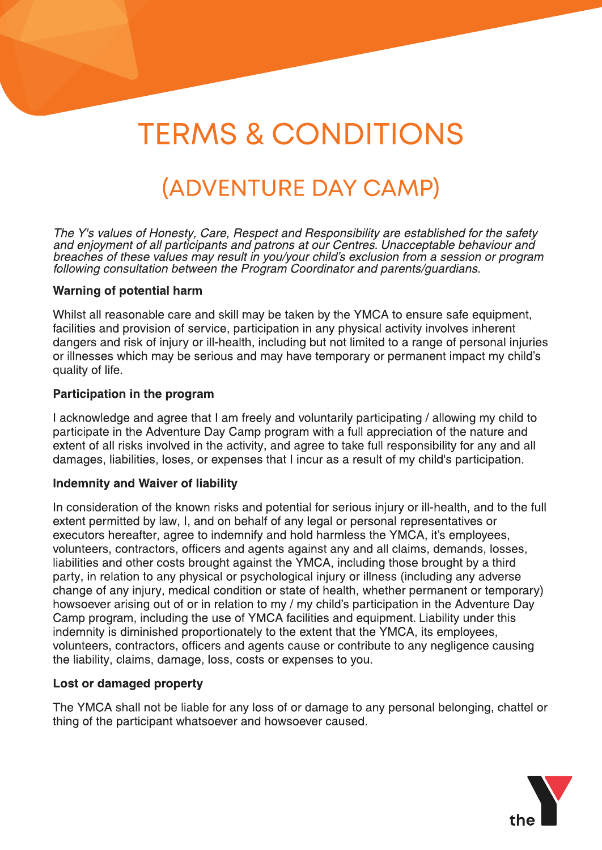# TERMS & CONDITIONS

# (ADVENTURE DAY CAMP)

**The Y's values of Honesty, Care, Respect and Responsibility are established for the safety and enjoyment of all participants and patrons at our Centres. Unacceptable behaviour and breaches of these values may result in you/your child?s exclusion from a session or program following consultation between the Program Coordinator and parents/guardians.**

#### Warning of potential harm

Whilst all reasonable care and skill may be taken by the YMCA to ensure safe equipment, facilities and provision of service, participation in any physical activity involves inherent dangers and risk of injury or ill-health, including but not limited to a range of personal injuries or illnesses which may be serious and may have temporary or permanent impact my child?s quality of life.

#### Participation in the program

I acknowledge and agree that I am freely and voluntarily participating / allowing my child to participate in the Adventure Day Camp program with a full appreciation of the nature and extent of all risks involved in the activity, and agree to take full responsibility for any and all damages, liabilities, loses, or expenses that I incur as a result of my child's participation.

#### Indemnity and Waiver of liability

In consideration of the known risks and potential for serious injury or ill-health, and to the full extent permitted by law, I, and on behalf of any legal or personal representatives or executors hereafter, agree to indemnify and hold harmless the YMCA, it's employees, volunteers, contractors, officers and agents against any and all claims, demands, losses, liabilities and other costs brought against the YMCA, including those brought by a third party, in relation to any physical or psychological injury or illness (including any adverse change of any injury, medical condition or state of health, whether permanent or temporary) howsoever arising out of or in relation to my / my child's participation in the Adventure Day Camp program, including the use of YMCA facilities and equipment. Liability under this indemnity is diminished proportionately to the extent that the YMCA, its employees, volunteers, contractors, officers and agents cause or contribute to any negligence causing the liability, claims, damage, loss, costs or expenses to you.

#### Lost or damaged property

The YMCA shall not be liable for any loss of or damage to any personal belonging, chattel or thing of the participant whatsoever and howsoever caused.

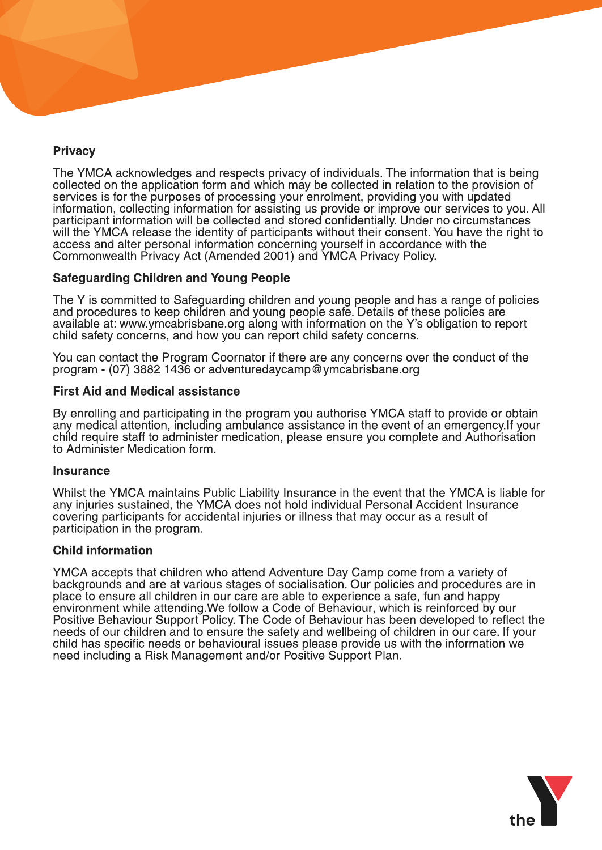# **Privacy**

The YMCA acknowledges and respects privacy of individuals. The information that is being collected on the application form and which may be collected in relation to the provision of services is for the purposes of processing your enrolment, providing you with updated information, collecting information for assisting us provide or improve our services to you. All participant information will be collected and stored confidentially. Under no circumstances will the YMCA release the identity of participants without their consent. You have the right to access and alter personal information concerning yourself in accordance with the Commonwealth Privacy Act (Amended 2001) and YMCA Privacy Policy.

# Safeguarding Children and Young People

The Y is committed to Safeguarding children and young people and has a range of policies and procedures to keep children and young people safe. Details of these policies are available at: www.ymcabrisbane.org along with information on the Y?s obligation to report child safety concerns, and how you can report child safety concerns.

You can contact the Program Coornator if there are any concerns over the conduct of the program - (07) 3882 1436 or adventuredaycamp@ymcabrisbane.org

#### First Aid and Medical assistance

By enrolling and participating in the program you authorise YMCA staff to provide or obtain any medical attention, including ambulance assistance in the event of an emergency.If your child require staff to administer medication, please ensure you complete and Authorisation to Administer Medication form.

#### **Insurance**

Whilst the YMCA maintains Public Liability Insurance in the event that the YMCA is liable for any injuries sustained, the YMCA does not hold individual Personal Accident Insurance covering participants for accidental injuries or illness that may occur as a result of participation in the program.

#### Child information

YMCA accepts that children who attend Adventure Day Camp come from a variety of backgrounds and are at various stages of socialisation. Our policies and procedures are in place to ensure all children in our care are able to experience a safe, fun and happy environment while attending. We follow a Code of Behaviour, which is reinforced by our Positive Behaviour Support Policy. The Code of Behaviour has been developed to reflect the needs of our children and to ensure the safety and wellbeing of children in our care. If your child has specific needs or behavioural issues please provide us with the information we need including a Risk Management and/or Positive Support Plan.

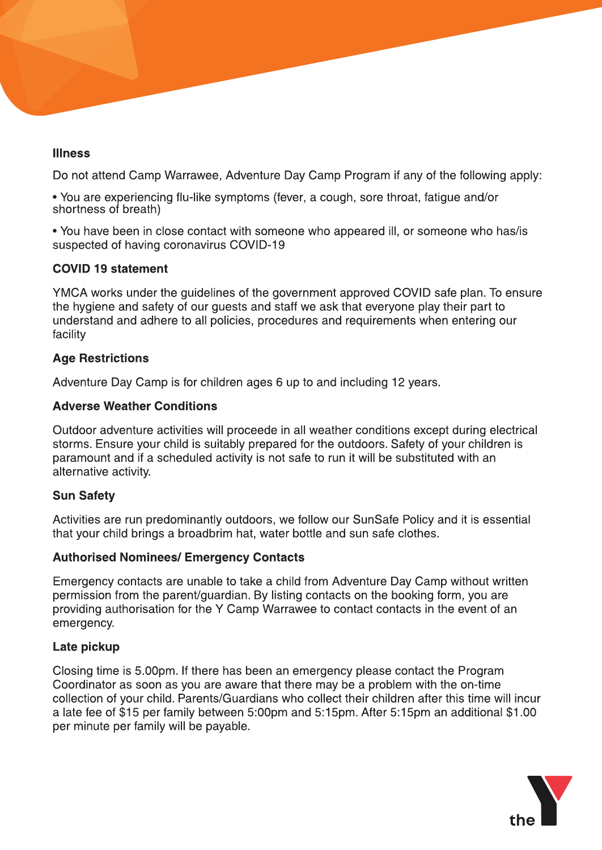# Illness

Do not attend Camp Warrawee, Adventure Day Camp Program if any of the following apply:

- You are experiencing flu-like symptoms (fever, a cough, sore throat, fatigue and/or shortness of breath)

- You have been in close contact with someone who appeared ill, or someone who has/is suspected of having coronavirus COVID-19

# COVID 19 statement

YMCA works under the guidelines of the government approved COVID safe plan. To ensure the hygiene and safety of our guests and staff we ask that everyone play their part to understand and adhere to all policies, procedures and requirements when entering our facility

# Age Restrictions

Adventure Day Camp is for children ages 6 up to and including 12 years.

# Adverse Weather Conditions

Outdoor adventure activities will proceede in all weather conditions except during electrical storms. Ensure your child is suitably prepared for the outdoors. Safety of your children is paramount and if a scheduled activity is not safe to run it will be substituted with an alternative activity.

# Sun Safety

Activities are run predominantly outdoors, we follow our SunSafe Policy and it is essential that your child brings a broadbrim hat, water bottle and sun safe clothes.

# Authorised Nominees/ Emergency Contacts

Emergency contacts are unable to take a child from Adventure Day Camp without written permission from the parent/guardian. By listing contacts on the booking form, you are providing authorisation for the Y Camp Warrawee to contact contacts in the event of an emergency.

# Late pickup

Closing time is 5.00pm. If there has been an emergency please contact the Program Coordinator as soon as you are aware that there may be a problem with the on-time collection of your child. Parents/Guardians who collect their children after this time will incur a late fee of \$15 per family between 5:00pm and 5:15pm. After 5:15pm an additional \$1.00 per minute per family will be payable.